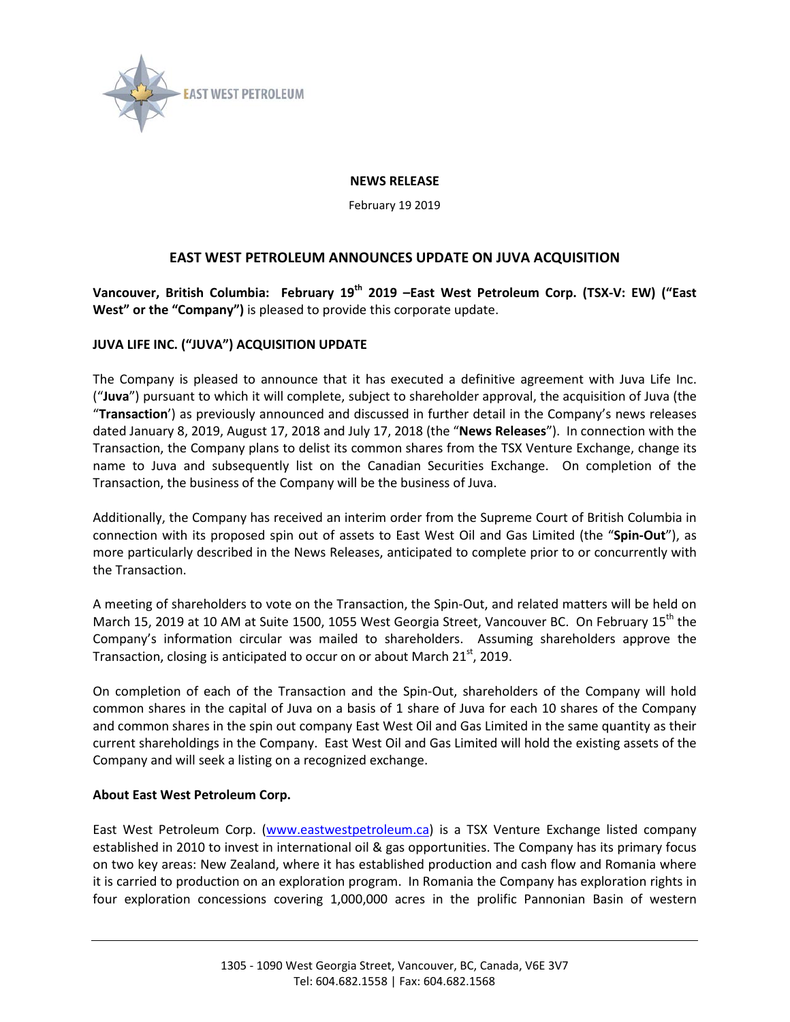

## **NEWS RELEASE**

February 19 2019

## **EAST WEST PETROLEUM ANNOUNCES UPDATE ON JUVA ACQUISITION**

**Vancouver, British Columbia: February 19th 2019 –East West Petroleum Corp. (TSX-V: EW) ("East West" or the "Company")** is pleased to provide this corporate update.

## **JUVA LIFE INC. ("JUVA") ACQUISITION UPDATE**

The Company is pleased to announce that it has executed a definitive agreement with Juva Life Inc. ("**Juva**") pursuant to which it will complete, subject to shareholder approval, the acquisition of Juva (the "**Transaction**') as previously announced and discussed in further detail in the Company's news releases dated January 8, 2019, August 17, 2018 and July 17, 2018 (the "**News Releases**"). In connection with the Transaction, the Company plans to delist its common shares from the TSX Venture Exchange, change its name to Juva and subsequently list on the Canadian Securities Exchange. On completion of the Transaction, the business of the Company will be the business of Juva.

Additionally, the Company has received an interim order from the Supreme Court of British Columbia in connection with its proposed spin out of assets to East West Oil and Gas Limited (the "**Spin-Out**"), as more particularly described in the News Releases, anticipated to complete prior to or concurrently with the Transaction.

A meeting of shareholders to vote on the Transaction, the Spin-Out, and related matters will be held on March 15, 2019 at 10 AM at Suite 1500, 1055 West Georgia Street, Vancouver BC. On February 15<sup>th</sup> the Company's information circular was mailed to shareholders. Assuming shareholders approve the Transaction, closing is anticipated to occur on or about March 21<sup>st</sup>, 2019.

On completion of each of the Transaction and the Spin-Out, shareholders of the Company will hold common shares in the capital of Juva on a basis of 1 share of Juva for each 10 shares of the Company and common shares in the spin out company East West Oil and Gas Limited in the same quantity as their current shareholdings in the Company. East West Oil and Gas Limited will hold the existing assets of the Company and will seek a listing on a recognized exchange.

## **About East West Petroleum Corp.**

East West Petroleum Corp. [\(www.eastwestpetroleum.ca\)](http://www.eastwestpetroleum.ca/) is a TSX Venture Exchange listed company established in 2010 to invest in international oil & gas opportunities. The Company has its primary focus on two key areas: New Zealand, where it has established production and cash flow and Romania where it is carried to production on an exploration program. In Romania the Company has exploration rights in four exploration concessions covering 1,000,000 acres in the prolific Pannonian Basin of western